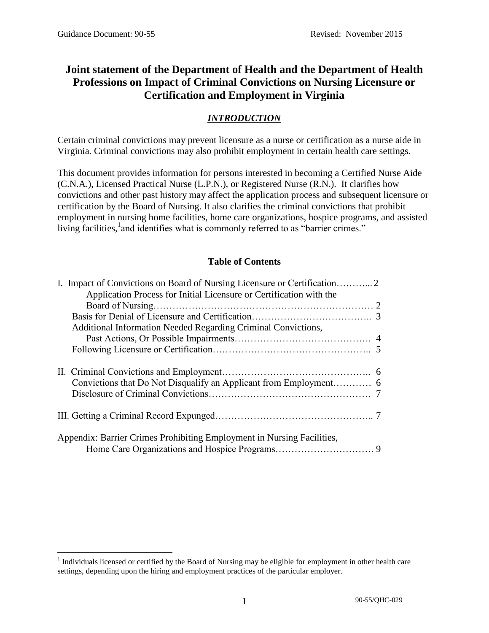# **Joint statement of the Department of Health and the Department of Health Professions on Impact of Criminal Convictions on Nursing Licensure or Certification and Employment in Virginia**

## *INTRODUCTION*

Certain criminal convictions may prevent licensure as a nurse or certification as a nurse aide in Virginia. Criminal convictions may also prohibit employment in certain health care settings.

This document provides information for persons interested in becoming a Certified Nurse Aide (C.N.A.), Licensed Practical Nurse (L.P.N.), or Registered Nurse (R.N.). It clarifies how convictions and other past history may affect the application process and subsequent licensure or certification by the Board of Nursing. It also clarifies the criminal convictions that prohibit employment in nursing home facilities, home care organizations, hospice programs, and assisted living facilities,<sup>1</sup> and identifies what is commonly referred to as "barrier crimes."

### **Table of Contents**

|  | Application Process for Initial Licensure or Certification with the    |  |  |
|--|------------------------------------------------------------------------|--|--|
|  |                                                                        |  |  |
|  | Additional Information Needed Regarding Criminal Convictions,          |  |  |
|  |                                                                        |  |  |
|  |                                                                        |  |  |
|  |                                                                        |  |  |
|  |                                                                        |  |  |
|  | Appendix: Barrier Crimes Prohibiting Employment in Nursing Facilities, |  |  |

 $\overline{a}$  $<sup>1</sup>$  Individuals licensed or certified by the Board of Nursing may be eligible for employment in other health care</sup> settings, depending upon the hiring and employment practices of the particular employer.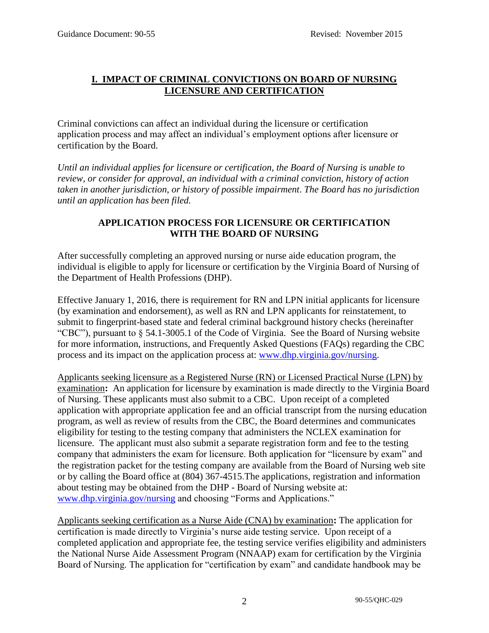#### **I. IMPACT OF CRIMINAL CONVICTIONS ON BOARD OF NURSING LICENSURE AND CERTIFICATION**

Criminal convictions can affect an individual during the licensure or certification application process and may affect an individual's employment options after licensure or certification by the Board.

*Until an individual applies for licensure or certification, the Board of Nursing is unable to review, or consider for approval, an individual with a criminal conviction, history of action taken in another jurisdiction, or history of possible impairment*. *The Board has no jurisdiction until an application has been filed.*

#### **APPLICATION PROCESS FOR LICENSURE OR CERTIFICATION WITH THE BOARD OF NURSING**

After successfully completing an approved nursing or nurse aide education program, the individual is eligible to apply for licensure or certification by the Virginia Board of Nursing of the Department of Health Professions (DHP).

Effective January 1, 2016, there is requirement for RN and LPN initial applicants for licensure (by examination and endorsement), as well as RN and LPN applicants for reinstatement, to submit to fingerprint-based state and federal criminal background history checks (hereinafter "CBC"), pursuant to § 54.1-3005.1 of the Code of Virginia. See the Board of Nursing website for more information, instructions, and Frequently Asked Questions (FAQs) regarding the CBC process and its impact on the application process at: [www.dhp.virginia.gov/nursing.](http://www.dhp.virginia.gov/nursing)

Applicants seeking licensure as a Registered Nurse (RN) or Licensed Practical Nurse (LPN) by examination**:** An application for licensure by examination is made directly to the Virginia Board of Nursing. These applicants must also submit to a CBC. Upon receipt of a completed application with appropriate application fee and an official transcript from the nursing education program, as well as review of results from the CBC, the Board determines and communicates eligibility for testing to the testing company that administers the NCLEX examination for licensure. The applicant must also submit a separate registration form and fee to the testing company that administers the exam for licensure. Both application for "licensure by exam" and the registration packet for the testing company are available from the Board of Nursing web site or by calling the Board office at (804) 367-4515.The applications, registration and information about testing may be obtained from the DHP - Board of Nursing website at: [www.dhp.virginia.gov/nursing](http://www.dhp.virginia.gov/nursing) and choosing "Forms and Applications."

Applicants seeking certification as a Nurse Aide (CNA) by examination**:** The application for certification is made directly to Virginia's nurse aide testing service. Upon receipt of a completed application and appropriate fee, the testing service verifies eligibility and administers the National Nurse Aide Assessment Program (NNAAP) exam for certification by the Virginia Board of Nursing. The application for "certification by exam" and candidate handbook may be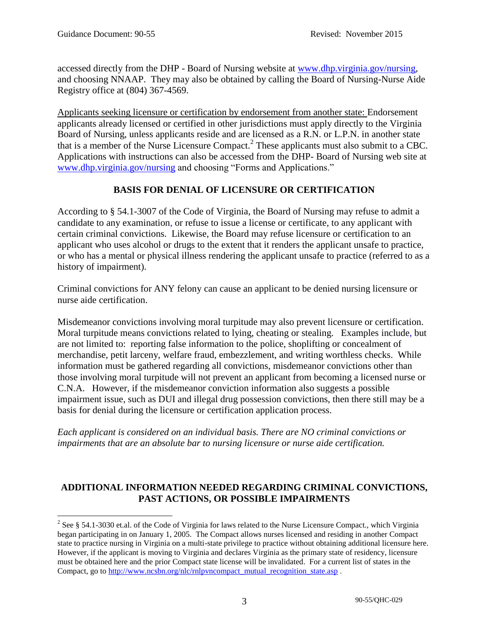accessed directly from the DHP - Board of Nursing website at [www.dhp.virginia.gov/nursing,](http://www.dhp.virginia.gov/nursing) and choosing NNAAP. They may also be obtained by calling the Board of Nursing-Nurse Aide Registry office at (804) 367-4569.

Applicants seeking licensure or certification by endorsement from another state: Endorsement applicants already licensed or certified in other jurisdictions must apply directly to the Virginia Board of Nursing, unless applicants reside and are licensed as a R.N. or L.P.N. in another state that is a member of the Nurse Licensure Compact.<sup>2</sup> These applicants must also submit to a CBC. Applications with instructions can also be accessed from the DHP- Board of Nursing web site at [www.dhp.virginia.gov/nursing](http://www.dhp.virginia.gov/nursing) and choosing "Forms and Applications."

## **BASIS FOR DENIAL OF LICENSURE OR CERTIFICATION**

According to § 54.1-3007 of the Code of Virginia, the Board of Nursing may refuse to admit a candidate to any examination, or refuse to issue a license or certificate, to any applicant with certain criminal convictions. Likewise, the Board may refuse licensure or certification to an applicant who uses alcohol or drugs to the extent that it renders the applicant unsafe to practice, or who has a mental or physical illness rendering the applicant unsafe to practice (referred to as a history of impairment).

Criminal convictions for ANY felony can cause an applicant to be denied nursing licensure or nurse aide certification.

Misdemeanor convictions involving moral turpitude may also prevent licensure or certification. Moral turpitude means convictions related to lying, cheating or stealing. Examples include, but are not limited to: reporting false information to the police, shoplifting or concealment of merchandise, petit larceny, welfare fraud, embezzlement, and writing worthless checks. While information must be gathered regarding all convictions, misdemeanor convictions other than those involving moral turpitude will not prevent an applicant from becoming a licensed nurse or C.N.A. However, if the misdemeanor conviction information also suggests a possible impairment issue, such as DUI and illegal drug possession convictions, then there still may be a basis for denial during the licensure or certification application process.

*Each applicant is considered on an individual basis. There are NO criminal convictions or impairments that are an absolute bar to nursing licensure or nurse aide certification.* 

### **ADDITIONAL INFORMATION NEEDED REGARDING CRIMINAL CONVICTIONS, PAST ACTIONS, OR POSSIBLE IMPAIRMENTS**

 $\overline{a}$ <sup>2</sup> See § 54.1-3030 et.al. of the Code of Virginia for laws related to the Nurse Licensure Compact., which Virginia began participating in on January 1, 2005. The Compact allows nurses licensed and residing in another Compact state to practice nursing in Virginia on a multi-state privilege to practice without obtaining additional licensure here. However, if the applicant is moving to Virginia and declares Virginia as the primary state of residency, licensure must be obtained here and the prior Compact state license will be invalidated. For a current list of states in the Compact, go to [http://www.ncsbn.org/nlc/rnlpvncompact\\_mutual\\_recognition\\_state.asp](http://www.ncsbn.org/nlc/rnlpvncompact_mutual_recognition_state.asp) .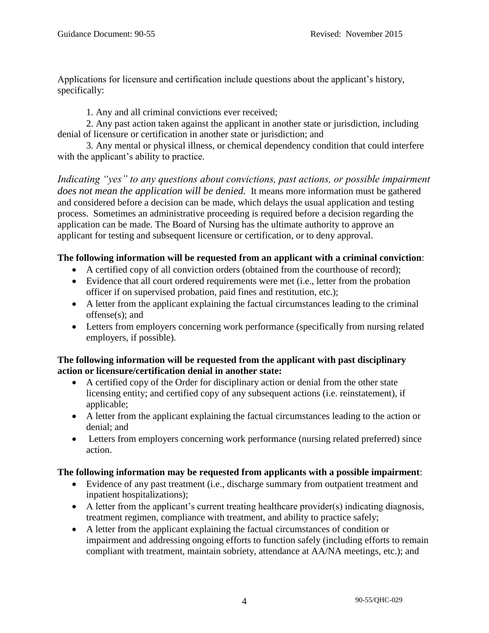Applications for licensure and certification include questions about the applicant's history, specifically:

1. Any and all criminal convictions ever received;

2. Any past action taken against the applicant in another state or jurisdiction, including denial of licensure or certification in another state or jurisdiction; and

3. Any mental or physical illness, or chemical dependency condition that could interfere with the applicant's ability to practice.

*Indicating "yes" to any questions about convictions, past actions, or possible impairment does not mean the application will be denied.* It means more information must be gathered and considered before a decision can be made, which delays the usual application and testing process. Sometimes an administrative proceeding is required before a decision regarding the application can be made. The Board of Nursing has the ultimate authority to approve an applicant for testing and subsequent licensure or certification, or to deny approval.

## **The following information will be requested from an applicant with a criminal conviction**:

- A certified copy of all conviction orders (obtained from the courthouse of record);
- Evidence that all court ordered requirements were met (i.e., letter from the probation officer if on supervised probation, paid fines and restitution, etc.);
- A letter from the applicant explaining the factual circumstances leading to the criminal offense(s); and
- Letters from employers concerning work performance (specifically from nursing related employers, if possible).

### **The following information will be requested from the applicant with past disciplinary action or licensure/certification denial in another state:**

- A certified copy of the Order for disciplinary action or denial from the other state licensing entity; and certified copy of any subsequent actions (i.e. reinstatement), if applicable;
- A letter from the applicant explaining the factual circumstances leading to the action or denial; and
- Letters from employers concerning work performance (nursing related preferred) since action.

## **The following information may be requested from applicants with a possible impairment**:

- Evidence of any past treatment (i.e., discharge summary from outpatient treatment and inpatient hospitalizations);
- A letter from the applicant's current treating healthcare provider(s) indicating diagnosis, treatment regimen, compliance with treatment, and ability to practice safely;
- A letter from the applicant explaining the factual circumstances of condition or impairment and addressing ongoing efforts to function safely (including efforts to remain compliant with treatment, maintain sobriety, attendance at AA/NA meetings, etc.); and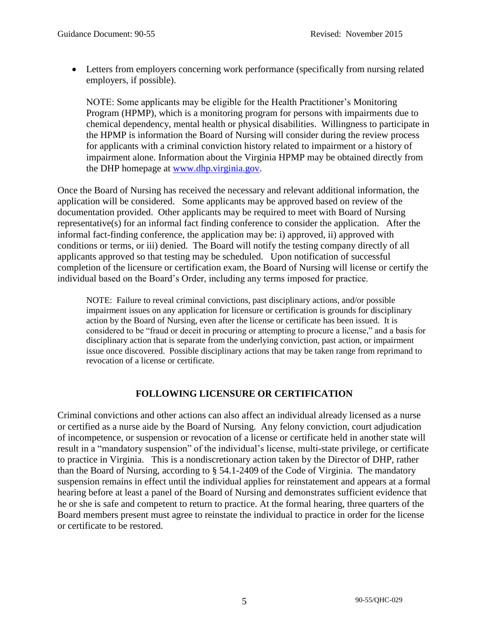Letters from employers concerning work performance (specifically from nursing related employers, if possible).

NOTE: Some applicants may be eligible for the Health Practitioner's Monitoring Program (HPMP), which is a monitoring program for persons with impairments due to chemical dependency, mental health or physical disabilities. Willingness to participate in the HPMP is information the Board of Nursing will consider during the review process for applicants with a criminal conviction history related to impairment or a history of impairment alone. Information about the Virginia HPMP may be obtained directly from the DHP homepage at [www.dhp.virginia.gov.](http://www.dhp.virginia.gov/)

Once the Board of Nursing has received the necessary and relevant additional information, the application will be considered. Some applicants may be approved based on review of the documentation provided. Other applicants may be required to meet with Board of Nursing representative(s) for an informal fact finding conference to consider the application. After the informal fact-finding conference, the application may be: i) approved, ii) approved with conditions or terms, or iii) denied. The Board will notify the testing company directly of all applicants approved so that testing may be scheduled. Upon notification of successful completion of the licensure or certification exam, the Board of Nursing will license or certify the individual based on the Board's Order, including any terms imposed for practice.

NOTE: Failure to reveal criminal convictions, past disciplinary actions, and/or possible impairment issues on any application for licensure or certification is grounds for disciplinary action by the Board of Nursing, even after the license or certificate has been issued. It is considered to be "fraud or deceit in procuring or attempting to procure a license," and a basis for disciplinary action that is separate from the underlying conviction, past action, or impairment issue once discovered. Possible disciplinary actions that may be taken range from reprimand to revocation of a license or certificate.

## **FOLLOWING LICENSURE OR CERTIFICATION**

Criminal convictions and other actions can also affect an individual already licensed as a nurse or certified as a nurse aide by the Board of Nursing. Any felony conviction, court adjudication of incompetence, or suspension or revocation of a license or certificate held in another state will result in a "mandatory suspension" of the individual's license, multi-state privilege, or certificate to practice in Virginia. This is a nondiscretionary action taken by the Director of DHP, rather than the Board of Nursing, according to § 54.1-2409 of the Code of Virginia. The mandatory suspension remains in effect until the individual applies for reinstatement and appears at a formal hearing before at least a panel of the Board of Nursing and demonstrates sufficient evidence that he or she is safe and competent to return to practice. At the formal hearing, three quarters of the Board members present must agree to reinstate the individual to practice in order for the license or certificate to be restored.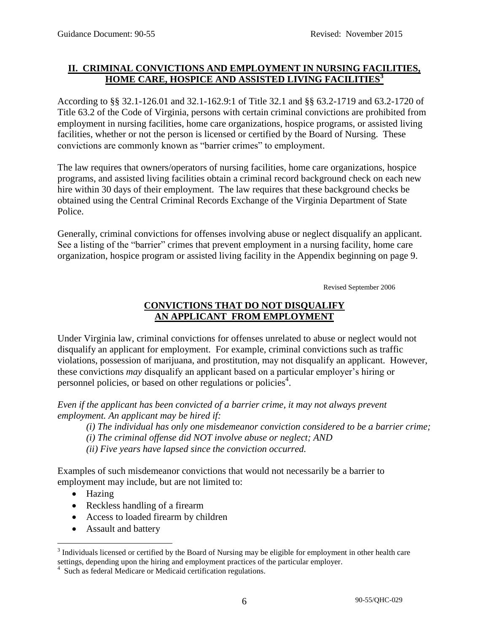## **II. CRIMINAL CONVICTIONS AND EMPLOYMENT IN NURSING FACILITIES, HOME CARE, HOSPICE AND ASSISTED LIVING FACILITIES<sup>3</sup>**

According to §§ 32.1-126.01 and 32.1-162.9:1 of Title 32.1 and §§ 63.2-1719 and 63.2-1720 of Title 63.2 of the Code of Virginia, persons with certain criminal convictions are prohibited from employment in nursing facilities, home care organizations, hospice programs, or assisted living facilities, whether or not the person is licensed or certified by the Board of Nursing. These convictions are commonly known as "barrier crimes" to employment.

The law requires that owners/operators of nursing facilities, home care organizations, hospice programs, and assisted living facilities obtain a criminal record background check on each new hire within 30 days of their employment. The law requires that these background checks be obtained using the Central Criminal Records Exchange of the Virginia Department of State Police.

Generally, criminal convictions for offenses involving abuse or neglect disqualify an applicant. See a listing of the "barrier" crimes that prevent employment in a nursing facility, home care organization, hospice program or assisted living facility in the Appendix beginning on page 9.

Revised September 2006

## **CONVICTIONS THAT DO NOT DISQUALIFY AN APPLICANT FROM EMPLOYMENT**

Under Virginia law, criminal convictions for offenses unrelated to abuse or neglect would not disqualify an applicant for employment. For example, criminal convictions such as traffic violations, possession of marijuana, and prostitution, may not disqualify an applicant. However, these convictions *may* disqualify an applicant based on a particular employer's hiring or personnel policies, or based on other regulations or policies<sup>4</sup>.

*Even if the applicant has been convicted of a barrier crime, it may not always prevent employment. An applicant may be hired if:*

*(i) The individual has only one misdemeanor conviction considered to be a barrier crime;* 

- *(i) The criminal offense did NOT involve abuse or neglect; AND*
- *(ii) Five years have lapsed since the conviction occurred.*

Examples of such misdemeanor convictions that would not necessarily be a barrier to employment may include, but are not limited to:

• Hazing

 $\overline{a}$ 

- Reckless handling of a firearm
- Access to loaded firearm by children
- Assault and battery

 $3$  Individuals licensed or certified by the Board of Nursing may be eligible for employment in other health care settings, depending upon the hiring and employment practices of the particular employer.

<sup>4</sup> Such as federal Medicare or Medicaid certification regulations.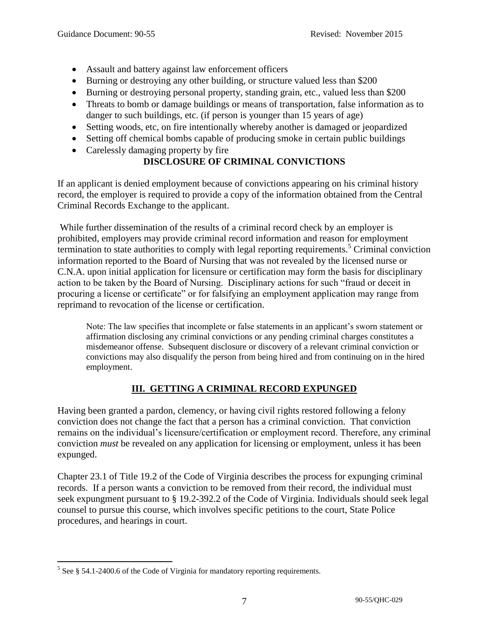- Assault and battery against law enforcement officers
- Burning or destroying any other building, or structure valued less than \$200
- Burning or destroying personal property, standing grain, etc., valued less than \$200
- Threats to bomb or damage buildings or means of transportation, false information as to danger to such buildings, etc. (if person is younger than 15 years of age)
- Setting woods, etc, on fire intentionally whereby another is damaged or jeopardized
- Setting off chemical bombs capable of producing smoke in certain public buildings
- Carelessly damaging property by fire

## **DISCLOSURE OF CRIMINAL CONVICTIONS**

If an applicant is denied employment because of convictions appearing on his criminal history record, the employer is required to provide a copy of the information obtained from the Central Criminal Records Exchange to the applicant.

While further dissemination of the results of a criminal record check by an employer is prohibited, employers may provide criminal record information and reason for employment termination to state authorities to comply with legal reporting requirements.<sup>5</sup> Criminal conviction information reported to the Board of Nursing that was not revealed by the licensed nurse or C.N.A. upon initial application for licensure or certification may form the basis for disciplinary action to be taken by the Board of Nursing. Disciplinary actions for such "fraud or deceit in procuring a license or certificate" or for falsifying an employment application may range from reprimand to revocation of the license or certification.

Note: The law specifies that incomplete or false statements in an applicant's sworn statement or affirmation disclosing any criminal convictions or any pending criminal charges constitutes a misdemeanor offense. Subsequent disclosure or discovery of a relevant criminal conviction or convictions may also disqualify the person from being hired and from continuing on in the hired employment.

## **III. GETTING A CRIMINAL RECORD EXPUNGED**

Having been granted a pardon, clemency, or having civil rights restored following a felony conviction does not change the fact that a person has a criminal conviction. That conviction remains on the individual's licensure/certification or employment record. Therefore, any criminal conviction *must* be revealed on any application for licensing or employment, unless it has been expunged.

Chapter 23.1 of Title 19.2 of the Code of Virginia describes the process for expunging criminal records. If a person wants a conviction to be removed from their record, the individual must seek expungment pursuant to § 19.2-392.2 of the Code of Virginia. Individuals should seek legal counsel to pursue this course, which involves specific petitions to the court, State Police procedures, and hearings in court.

<sup>&</sup>lt;sup>5</sup> See § 54.1-2400.6 of the Code of Virginia for mandatory reporting requirements.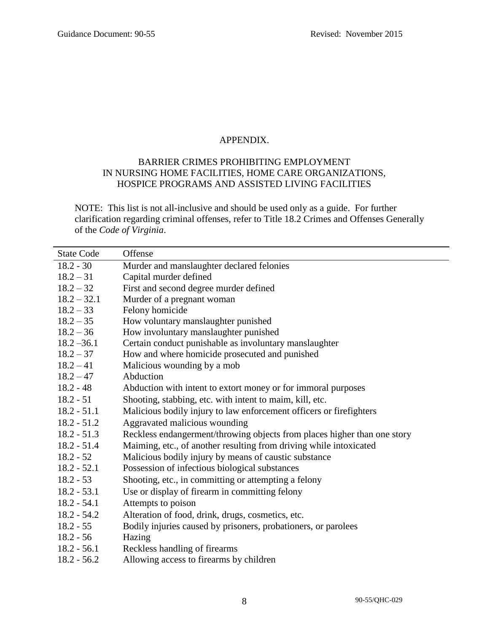#### APPENDIX.

#### BARRIER CRIMES PROHIBITING EMPLOYMENT IN NURSING HOME FACILITIES, HOME CARE ORGANIZATIONS, HOSPICE PROGRAMS AND ASSISTED LIVING FACILITIES

NOTE: This list is not all-inclusive and should be used only as a guide. For further clarification regarding criminal offenses, refer to Title 18.2 Crimes and Offenses Generally of the *Code of Virginia*.

| <b>State Code</b> | Offense                                                                  |
|-------------------|--------------------------------------------------------------------------|
| $18.2 - 30$       | Murder and manslaughter declared felonies                                |
| $18.2 - 31$       | Capital murder defined                                                   |
| $18.2 - 32$       | First and second degree murder defined                                   |
| $18.2 - 32.1$     | Murder of a pregnant woman                                               |
| $18.2 - 33$       | Felony homicide                                                          |
| $18.2 - 35$       | How voluntary manslaughter punished                                      |
| $18.2 - 36$       | How involuntary manslaughter punished                                    |
| $18.2 - 36.1$     | Certain conduct punishable as involuntary manslaughter                   |
| $18.2 - 37$       | How and where homicide prosecuted and punished                           |
| $18.2 - 41$       | Malicious wounding by a mob                                              |
| $18.2 - 47$       | Abduction                                                                |
| $18.2 - 48$       | Abduction with intent to extort money or for immoral purposes            |
| $18.2 - 51$       | Shooting, stabbing, etc. with intent to maim, kill, etc.                 |
| $18.2 - 51.1$     | Malicious bodily injury to law enforcement officers or firefighters      |
| $18.2 - 51.2$     | Aggravated malicious wounding                                            |
| $18.2 - 51.3$     | Reckless endangerment/throwing objects from places higher than one story |
| $18.2 - 51.4$     | Maiming, etc., of another resulting from driving while intoxicated       |
| $18.2 - 52$       | Malicious bodily injury by means of caustic substance                    |
| $18.2 - 52.1$     | Possession of infectious biological substances                           |
| $18.2 - 53$       | Shooting, etc., in committing or attempting a felony                     |
| $18.2 - 53.1$     | Use or display of firearm in committing felony                           |
| $18.2 - 54.1$     | Attempts to poison                                                       |
| $18.2 - 54.2$     | Alteration of food, drink, drugs, cosmetics, etc.                        |
| $18.2 - 55$       | Bodily injuries caused by prisoners, probationers, or parolees           |
| $18.2 - 56$       | Hazing                                                                   |
| $18.2 - 56.1$     | Reckless handling of firearms                                            |
| $18.2 - 56.2$     | Allowing access to firearms by children                                  |
|                   |                                                                          |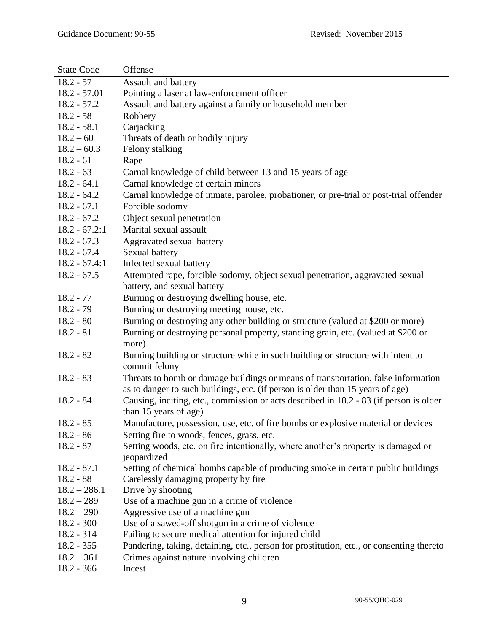| <b>State Code</b> | Offense                                                                                  |
|-------------------|------------------------------------------------------------------------------------------|
| $18.2 - 57$       | <b>Assault and battery</b>                                                               |
| $18.2 - 57.01$    | Pointing a laser at law-enforcement officer                                              |
| $18.2 - 57.2$     | Assault and battery against a family or household member                                 |
| $18.2 - 58$       | Robbery                                                                                  |
| $18.2 - 58.1$     | Carjacking                                                                               |
| $18.2 - 60$       | Threats of death or bodily injury                                                        |
| $18.2 - 60.3$     | Felony stalking                                                                          |
| $18.2 - 61$       | Rape                                                                                     |
| $18.2 - 63$       | Carnal knowledge of child between 13 and 15 years of age                                 |
| $18.2 - 64.1$     | Carnal knowledge of certain minors                                                       |
| $18.2 - 64.2$     | Carnal knowledge of inmate, parolee, probationer, or pre-trial or post-trial offender    |
| $18.2 - 67.1$     | Forcible sodomy                                                                          |
| $18.2 - 67.2$     | Object sexual penetration                                                                |
| $18.2 - 67.2:1$   | Marital sexual assault                                                                   |
| $18.2 - 67.3$     | Aggravated sexual battery                                                                |
| $18.2 - 67.4$     | Sexual battery                                                                           |
| $18.2 - 67.4:1$   | Infected sexual battery                                                                  |
| $18.2 - 67.5$     | Attempted rape, forcible sodomy, object sexual penetration, aggravated sexual            |
|                   | battery, and sexual battery                                                              |
| $18.2 - 77$       | Burning or destroying dwelling house, etc.                                               |
| $18.2 - 79$       | Burning or destroying meeting house, etc.                                                |
| $18.2 - 80$       | Burning or destroying any other building or structure (valued at \$200 or more)          |
| $18.2 - 81$       | Burning or destroying personal property, standing grain, etc. (valued at \$200 or        |
|                   | more)                                                                                    |
| $18.2 - 82$       | Burning building or structure while in such building or structure with intent to         |
|                   | commit felony                                                                            |
| $18.2 - 83$       | Threats to bomb or damage buildings or means of transportation, false information        |
|                   | as to danger to such buildings, etc. (if person is older than 15 years of age)           |
| $18.2 - 84$       | Causing, inciting, etc., commission or acts described in 18.2 - 83 (if person is older   |
|                   | than 15 years of age)                                                                    |
| $18.2 - 85$       | Manufacture, possession, use, etc. of fire bombs or explosive material or devices        |
| $18.2 - 86$       | Setting fire to woods, fences, grass, etc.                                               |
| $18.2 - 87$       | Setting woods, etc. on fire intentionally, where another's property is damaged or        |
|                   | jeopardized                                                                              |
| $18.2 - 87.1$     | Setting of chemical bombs capable of producing smoke in certain public buildings         |
| $18.2 - 88$       | Carelessly damaging property by fire                                                     |
| $18.2 - 286.1$    | Drive by shooting                                                                        |
| $18.2 - 289$      | Use of a machine gun in a crime of violence                                              |
| $18.2 - 290$      | Aggressive use of a machine gun                                                          |
| $18.2 - 300$      | Use of a sawed-off shotgun in a crime of violence                                        |
| $18.2 - 314$      | Failing to secure medical attention for injured child                                    |
| $18.2 - 355$      | Pandering, taking, detaining, etc., person for prostitution, etc., or consenting thereto |
| $18.2 - 361$      | Crimes against nature involving children                                                 |
| $18.2 - 366$      | Incest                                                                                   |